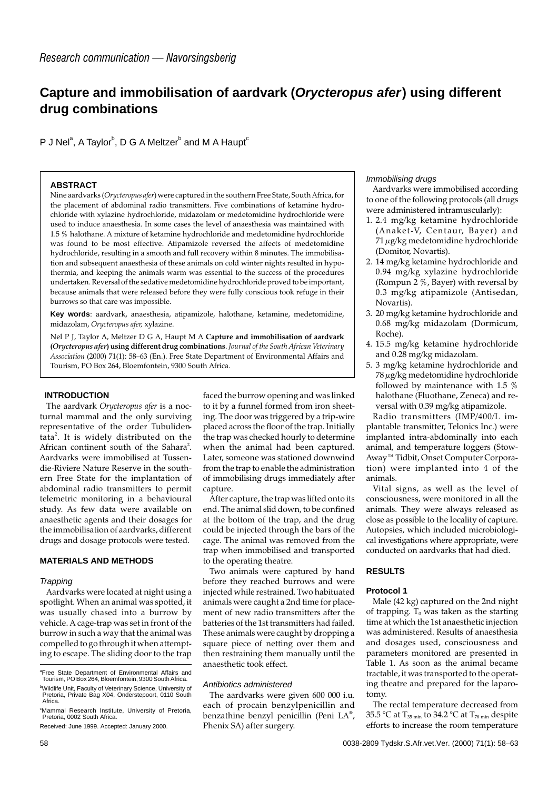# **Capture and immobilisation of aardvark (Orycteropus afer) using different drug combinations**

P J Nel $\text{\degree},$  A Taylor $\text{\degree},$  D G A Meltzer $\text{\degree}$  and M A Haupt $\text{\degree}$ 

# **ABSTRACT**

Nine aardvarks (*Orycteropus afer*) were captured in the southern Free State, South Africa, for the placement of abdominal radio transmitters. Five combinations of ketamine hydrochloride with xylazine hydrochloride, midazolam or medetomidine hydrochloride were used to induce anaesthesia. In some cases the level of anaesthesia was maintained with 1.5 % halothane. A mixture of ketamine hydrochloride and medetomidine hydrochloride was found to be most effective. Atipamizole reversed the affects of medetomidine hydrochloride, resulting in a smooth and full recovery within 8 minutes. The immobilisation and subsequent anaesthesia of these animals on cold winter nights resulted in hypothermia, and keeping the animals warm was essential to the success of the procedures undertaken. Reversal of the sedative medetomidine hydrochloride proved to be important, because animals that were released before they were fully conscious took refuge in their burrows so that care was impossible.

**Key words**: aardvark, anaesthesia, atipamizole, halothane, ketamine, medetomidine, midazolam, *Orycteropus afer,* xylazine.

Nel P J, Taylor A, Meltzer D G A, Haupt M A **Capture and immobilisation of aardvark (***Orycteropus afer***) using different drug combinations**. *Journal of the South African Veterinary Association* (2000) 71(1): 58–63 (En.). Free State Department of Environmental Affairs and Tourism, PO Box 264, Bloemfontein, 9300 South Africa.

# **INTRODUCTION**

The aardvark *Orycteropus afer* is a nocturnal mammal and the only surviving representative of the order Tubulidentata<sup>2</sup>. It is widely distributed on the African continent south of the Sahara<sup>2</sup>. Aardvarks were immobilised at Tussendie-Riviere Nature Reserve in the southern Free State for the implantation of abdominal radio transmitters to permit telemetric monitoring in a behavioural study. As few data were available on anaesthetic agents and their dosages for the immobilisation of aardvarks, different drugs and dosage protocols were tested.

# **MATERIALS AND METHODS**

## **Trapping**

Aardvarks were located at night using a spotlight. When an animal was spotted, it was usually chased into a burrow by vehicle. A cage-trap was set in front of the burrow in such a way that the animal was compelled to go through it when attempting to escape. The sliding door to the trap

faced the burrow opening and was linked to it by a funnel formed from iron sheeting. The door was triggered by a trip-wire placed across the floor of the trap. Initially the trap was checked hourly to determine when the animal had been captured. Later, someone was stationed downwind from the trap to enable the administration of immobilising drugs immediately after capture.

After capture, the trap was lifted onto its end. The animal slid down, to be confined at the bottom of the trap, and the drug could be injected through the bars of the cage. The animal was removed from the trap when immobilised and transported to the operating theatre.

Two animals were captured by hand before they reached burrows and were injected while restrained. Two habituated animals were caught a 2nd time for placement of new radio transmitters after the batteries of the 1st transmitters had failed. These animals were caught by dropping a square piece of netting over them and then restraining them manually until the anaesthetic took effect.

#### Antibiotics administered

The aardvarks were given 600 000 i.u. each of procain benzylpenicillin and benzathine benzyl penicillin (Peni LA® , Phenix SA) after surgery.

#### Immobilising drugs

Aardvarks were immobilised according to one of the following protocols (all drugs were administered intramuscularly):

- 1. 2.4 mg/kg ketamine hydrochloride (Anaket-V, Centaur, Bayer) and 71 µg/kg medetomidine hydrochloride (Domitor, Novartis).
- 2. 14 mg/kg ketamine hydrochloride and 0.94 mg/kg xylazine hydrochloride (Rompun 2  $\%$ , Bayer) with reversal by 0.3 mg/kg atipamizole (Antisedan, Novartis).
- 3. 20 mg/kg ketamine hydrochloride and 0.68 mg/kg midazolam (Dormicum, Roche).
- 4. 15.5 mg/kg ketamine hydrochloride and 0.28 mg/kg midazolam.
- 5. 3 mg/kg ketamine hydrochloride and 78 µg/kg medetomidine hydrochloride followed by maintenance with 1.5 % halothane (Fluothane, Zeneca) and reversal with 0.39 mg/kg atipamizole.

Radio transmitters (IMP/400/L implantable transmitter, Telonics Inc.) were implanted intra-abdominally into each animal, and temperature loggers (Stow-Away™ Tidbit, Onset Computer Corporation) were implanted into 4 of the animals.

Vital signs, as well as the level of consciousness, were monitored in all the animals. They were always released as close as possible to the locality of capture. Autopsies, which included microbiological investigations where appropriate, were conducted on aardvarks that had died.

## **RESULTS**

## **Protocol 1**

Male (42 kg) captured on the 2nd night of trapping.  $T_0$  was taken as the starting time at which the 1st anaesthetic injection was administered. Results of anaesthesia and dosages used, consciousness and parameters monitored are presented in Table 1. As soon as the animal became tractable, it was transported to the operating theatre and prepared for the laparotomy.

The rectal temperature decreased from 35.5 °C at  $T_{35 \text{ min}}$  to 34.2 °C at  $T_{78 \text{ min}}$  despite efforts to increase the room temperature

<sup>&</sup>lt;sup>a</sup>Free State Department of Environmental Affairs and Tourism, PO Box 264, Bloemfontein, 9300 South Africa.

b Wildlife Unit, Faculty of Veterinary Science, University of Pretoria, Private Bag X04, Onderstepoort, 0110 South Africa.

c Mammal Research Institute, University of Pretoria, Pretoria, 0002 South Africa. Received: June 1999. Accepted: January 2000.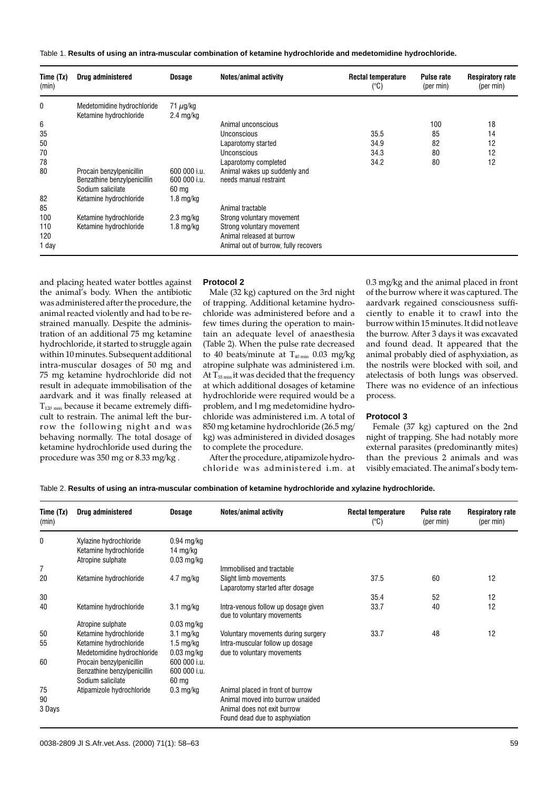| Time (Tx)<br>(min)  | Drug administered                                                            | <b>Dosage</b>                                   | Notes/animal activity                                                                          | <b>Rectal temperature</b><br>$(^{\circ}C)$ | <b>Pulse rate</b><br>(per min) | <b>Respiratory rate</b><br>(per min) |
|---------------------|------------------------------------------------------------------------------|-------------------------------------------------|------------------------------------------------------------------------------------------------|--------------------------------------------|--------------------------------|--------------------------------------|
| 0                   | Medetomidine hydrochloride<br>Ketamine hydrochloride                         | 71 $\mu$ g/kg<br>$2.4 \text{ mg/kg}$            |                                                                                                |                                            |                                |                                      |
| 6                   |                                                                              |                                                 | Animal unconscious                                                                             |                                            | 100                            | 18                                   |
| 35                  |                                                                              |                                                 | Unconscious                                                                                    | 35.5                                       | 85                             | 14                                   |
| 50                  |                                                                              |                                                 | Laparotomy started                                                                             | 34.9                                       | 82                             | 12                                   |
| 70                  |                                                                              |                                                 | Unconscious                                                                                    | 34.3                                       | 80                             | 12                                   |
| 78                  |                                                                              |                                                 | Laparotomy completed                                                                           | 34.2                                       | 80                             | 12                                   |
| 80                  | Procain benzylpenicillin<br>Benzathine benzylpenicillin<br>Sodium salicilate | 600 000 i.u.<br>600 000 i.u.<br>$60 \text{ mg}$ | Animal wakes up suddenly and<br>needs manual restraint                                         |                                            |                                |                                      |
| 82                  | Ketamine hydrochloride                                                       | 1.8 mg/kg                                       |                                                                                                |                                            |                                |                                      |
| 85                  |                                                                              |                                                 | Animal tractable                                                                               |                                            |                                |                                      |
| 100                 | Ketamine hydrochloride                                                       | $2.3 \text{ mg/kg}$                             | Strong voluntary movement                                                                      |                                            |                                |                                      |
| 110<br>120<br>1 day | Ketamine hydrochloride                                                       | $1.8 \text{ mg/kg}$                             | Strong voluntary movement<br>Animal released at burrow<br>Animal out of burrow, fully recovers |                                            |                                |                                      |

and placing heated water bottles against the animal's body. When the antibiotic was administered after the procedure, the animal reacted violently and had to be restrained manually. Despite the administration of an additional 75 mg ketamine hydrochloride, it started to struggle again within 10 minutes. Subsequent additional intra-muscular dosages of 50 mg and 75 mg ketamine hydrochloride did not result in adequate immobilisation of the aardvark and it was finally released at  $T_{120 \text{ min}}$  because it became extremely difficult to restrain. The animal left the burrow the following night and was behaving normally. The total dosage of ketamine hydrochloride used during the procedure was 350 mg or 8.33 mg/kg .

## **Protocol 2**

Male (32 kg) captured on the 3rd night of trapping. Additional ketamine hydrochloride was administered before and a few times during the operation to maintain an adequate level of anaesthesia (Table 2). When the pulse rate decreased to 40 beats/minute at  $T_{40 \text{ min}}$  0.03 mg/kg atropine sulphate was administered i.m. At  $T_{55 \text{ min}}$  it was decided that the frequency at which additional dosages of ketamine hydrochloride were required would be a problem, and l mg medetomidine hydrochloride was administered i.m. A total of 850 mg ketamine hydrochloride (26.5 mg/ kg) was administered in divided dosages to complete the procedure. After the procedure, atipamizole hydro-

chloride was administered i.m. at

0.3 mg/kg and the animal placed in front of the burrow where it was captured. The aardvark regained consciousness sufficiently to enable it to crawl into the burrow within 15 minutes. It did not leave the burrow. After 3 days it was excavated and found dead. It appeared that the animal probably died of asphyxiation, as the nostrils were blocked with soil, and atelectasis of both lungs was observed. There was no evidence of an infectious process.

## **Protocol 3**

Female (37 kg) captured on the 2nd night of trapping. She had notably more external parasites (predominantly mites) than the previous 2 animals and was visibly emaciated. The animal's body tem-

Table 2. **Results of using an intra-muscular combination of ketamine hydrochloride and xylazine hydrochloride.**

| Time $(Tx)$<br>(min) | Drug administered                                                              | <b>Dosage</b>                                              | Notes/animal activity                                                                                                                 | <b>Rectal temperature</b><br>$(^{\circ}C)$ | <b>Pulse rate</b><br>(per min) | <b>Respiratory rate</b><br>(per min) |
|----------------------|--------------------------------------------------------------------------------|------------------------------------------------------------|---------------------------------------------------------------------------------------------------------------------------------------|--------------------------------------------|--------------------------------|--------------------------------------|
| 0                    | Xylazine hydrochloride<br>Ketamine hydrochloride<br>Atropine sulphate          | $0.94$ mg/kg<br>14 mg/kg<br>$0.03$ mg/kg                   |                                                                                                                                       |                                            |                                |                                      |
| 7                    |                                                                                |                                                            | Immobilised and tractable                                                                                                             |                                            |                                |                                      |
| 20                   | Ketamine hydrochloride                                                         | $4.7 \text{ mg/kg}$                                        | Slight limb movements<br>Laparotomy started after dosage                                                                              | 37.5                                       | 60                             | 12                                   |
| 30                   |                                                                                |                                                            |                                                                                                                                       | 35.4                                       | 52                             | 12                                   |
| 40                   | Ketamine hydrochloride                                                         | $3.1 \text{ mg/kg}$                                        | Intra-venous follow up dosage given<br>due to voluntary movements                                                                     | 33.7                                       | 40                             | 12                                   |
|                      | Atropine sulphate                                                              | $0.03$ mg/kg                                               |                                                                                                                                       |                                            |                                |                                      |
| 50<br>55             | Ketamine hydrochloride<br>Ketamine hydrochloride<br>Medetomidine hydrochloride | $3.1 \text{ mg/kg}$<br>$1.5 \text{ mg/kg}$<br>$0.03$ mg/kg | Voluntary movements during surgery<br>Intra-muscular follow up dosage<br>due to voluntary movements                                   | 33.7                                       | 48                             | 12                                   |
| 60                   | Procain benzylpenicillin<br>Benzathine benzylpenicillin<br>Sodium salicilate   | 600 000 i.u.<br>600 000 i.u.<br>$60 \text{ mg}$            |                                                                                                                                       |                                            |                                |                                      |
| 75<br>90<br>3 Days   | Atipamizole hydrochloride                                                      | $0.3 \text{ mg/kg}$                                        | Animal placed in front of burrow<br>Animal moved into burrow unaided<br>Animal does not exit burrow<br>Found dead due to asphyxiation |                                            |                                |                                      |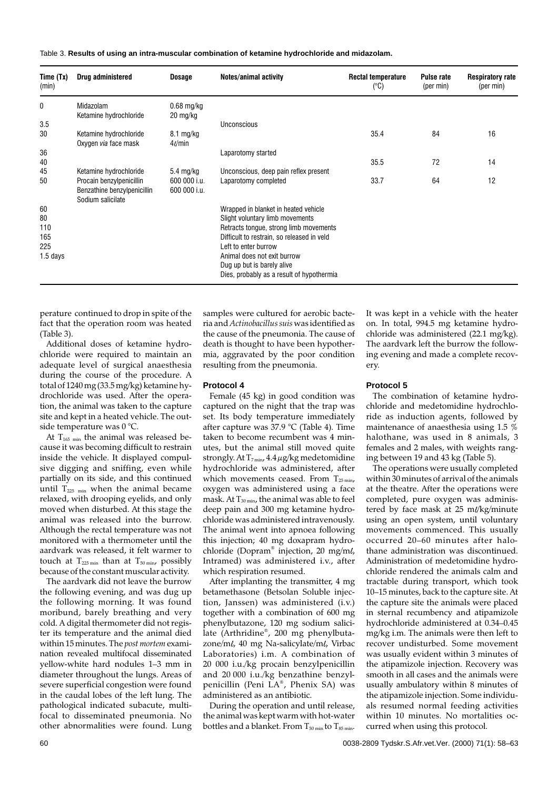Table 3. **Results of using an intra-muscular combination of ketamine hydrochloride and midazolam.**

| Time (Tx)<br>(min)                          | Drug administered                                                                                      | <b>Dosage</b>                                       | <b>Notes/animal activity</b>                                                                                                                                                                                                                                                                      | <b>Rectal temperature</b><br>$(^{\circ}C)$ | <b>Pulse rate</b><br>(per min) | <b>Respiratory rate</b><br>(per min) |
|---------------------------------------------|--------------------------------------------------------------------------------------------------------|-----------------------------------------------------|---------------------------------------------------------------------------------------------------------------------------------------------------------------------------------------------------------------------------------------------------------------------------------------------------|--------------------------------------------|--------------------------------|--------------------------------------|
| 0                                           | Midazolam<br>Ketamine hydrochloride                                                                    | $0.68$ mg/kg<br>20 mg/kg                            |                                                                                                                                                                                                                                                                                                   |                                            |                                |                                      |
| 3.5<br>30                                   | Ketamine hydrochloride<br>Oxygen via face mask                                                         | $8.1 \text{ mg/kg}$<br>$4\ell$ min                  | Unconscious                                                                                                                                                                                                                                                                                       | 35.4                                       | 84                             | 16                                   |
| 36<br>40                                    |                                                                                                        |                                                     | Laparotomy started                                                                                                                                                                                                                                                                                | 35.5                                       | 72                             | 14                                   |
| 45<br>50                                    | Ketamine hydrochloride<br>Procain benzylpenicillin<br>Benzathine benzylpenicillin<br>Sodium salicilate | $5.4 \text{ mg/kg}$<br>600 000 i.u.<br>600 000 i.u. | Unconscious, deep pain reflex present<br>Laparotomy completed                                                                                                                                                                                                                                     | 33.7                                       | 64                             | 12                                   |
| 60<br>80<br>110<br>165<br>225<br>$1.5$ days |                                                                                                        |                                                     | Wrapped in blanket in heated vehicle<br>Slight voluntary limb movements<br>Retracts tongue, strong limb movements<br>Difficult to restrain, so released in veld<br>Left to enter burrow<br>Animal does not exit burrow<br>Dug up but is barely alive<br>Dies, probably as a result of hypothermia |                                            |                                |                                      |

perature continued to drop in spite of the fact that the operation room was heated (Table 3).

Additional doses of ketamine hydrochloride were required to maintain an adequate level of surgical anaesthesia during the course of the procedure. A total of 1240 mg (33.5 mg/kg) ketamine hydrochloride was used. After the operation, the animal was taken to the capture site and kept in a heated vehicle. The outside temperature was 0 °C.

At  $T_{165 \text{ min}}$  the animal was released because it was becoming difficult to restrain inside the vehicle. It displayed compulsive digging and sniffing, even while partially on its side, and this continued until  $T_{225 min}$  when the animal became relaxed, with drooping eyelids, and only moved when disturbed. At this stage the animal was released into the burrow. Although the rectal temperature was not monitored with a thermometer until the aardvark was released, it felt warmer to touch at  $T_{225 \text{ min}}$  than at  $T_{50 \text{ min}}$ , possibly because of the constant muscular activity.

The aardvark did not leave the burrow the following evening, and was dug up the following morning. It was found moribund, barely breathing and very cold. A digital thermometer did not register its temperature and the animal died within 15 minutes. The *post mortem* examination revealed multifocal disseminated yellow-white hard nodules 1–3 mm in diameter throughout the lungs. Areas of severe superficial congestion were found in the caudal lobes of the left lung. The pathological indicated subacute, multifocal to disseminated pneumonia. No other abnormalities were found. Lung samples were cultured for aerobic bacteria and*Actinobacillus suis* was identified as the cause of the pneumonia. The cause of death is thought to have been hypothermia, aggravated by the poor condition resulting from the pneumonia.

## **Protocol 4**

Female (45 kg) in good condition was captured on the night that the trap was set. Its body temperature immediately after capture was 37.9 °C (Table 4). Time taken to become recumbent was 4 minutes, but the animal still moved quite strongly. At  $T_{7\text{min}}$ , 4.4  $\mu$ g/kg medetomidine hydrochloride was administered, after which movements ceased. From  $T_{25 min}$ , oxygen was administered using a face mask. At  $T_{30 \text{ min}}$ , the animal was able to feel deep pain and 300 mg ketamine hydrochloride was administered intravenously. The animal went into apnoea following this injection; 40 mg doxapram hydrochloride (Dopram® injection, 20 mg/m $\ell$ , Intramed) was administered i.v., after which respiration resumed.

After implanting the transmitter, 4 mg betamethasone (Betsolan Soluble injection, Janssen) was administered (i.v.) together with a combination of 600 mg phenylbutazone, 120 mg sodium salicilate (Arthridine® , 200 mg phenylbutazone/ml, 40 mg Na-salicylate/ml, Virbac Laboratories) i.m. A combination of 20 000 i.u./kg procain benzylpenicillin and 20 000 i.u./kg benzathine benzylpenicillin (Peni LA®, Phenix SA) was administered as an antibiotic.

During the operation and until release, the animal was kept warm with hot-water bottles and a blanket. From  $T_{50 \text{ min}}$  to  $T_{85 \text{ min}}$ .

It was kept in a vehicle with the heater on. In total, 994.5 mg ketamine hydrochloride was administered (22.1 mg/kg). The aardvark left the burrow the following evening and made a complete recovery.

## **Protocol 5**

The combination of ketamine hydrochloride and medetomidine hydrochloride as induction agents, followed by maintenance of anaesthesia using 1.5 % halothane, was used in 8 animals, 3 females and 2 males, with weights ranging between 19 and 43 kg (Table 5).

The operations were usually completed within 30 minutes of arrival of the animals at the theatre. After the operations were completed, pure oxygen was administered by face mask at  $25 \text{ m}$ //kg/minute using an open system, until voluntary movements commenced. This usually occurred 20–60 minutes after halothane administration was discontinued. Administration of medetomidine hydrochloride rendered the animals calm and tractable during transport, which took 10–15 minutes, back to the capture site. At the capture site the animals were placed in sternal recumbency and atipamizole hydrochloride administered at 0.34–0.45 mg/kg i.m. The animals were then left to recover undisturbed. Some movement was usually evident within 3 minutes of the atipamizole injection. Recovery was smooth in all cases and the animals were usually ambulatory within 8 minutes of the atipamizole injection. Some individuals resumed normal feeding activities within 10 minutes. No mortalities occurred when using this protocol.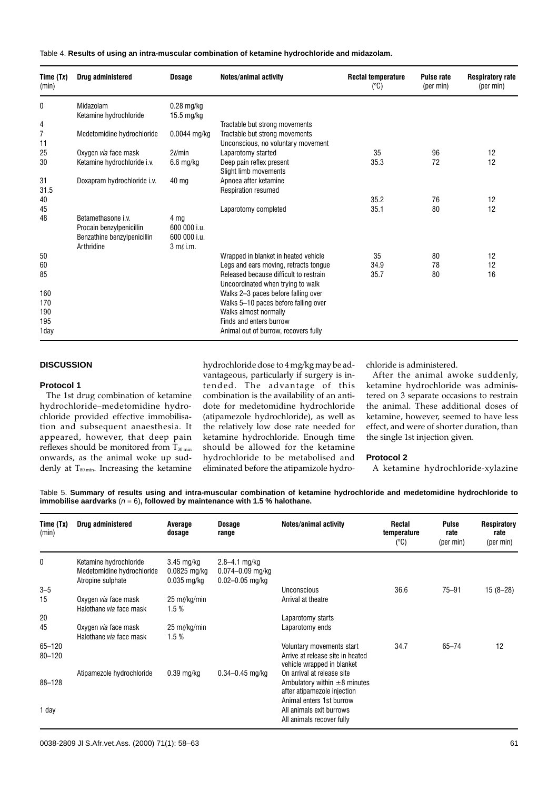Table 4. **Results of using an intra-muscular combination of ketamine hydrochloride and midazolam.**

| Time (Tx)<br>(min) | Drug administered                                                                           | <b>Dosage</b>                                          | <b>Notes/animal activity</b>                                                | <b>Rectal temperature</b><br>$(^{\circ}C)$ | <b>Pulse rate</b><br>(per min) | <b>Respiratory rate</b><br>(per min) |
|--------------------|---------------------------------------------------------------------------------------------|--------------------------------------------------------|-----------------------------------------------------------------------------|--------------------------------------------|--------------------------------|--------------------------------------|
| 0                  | Midazolam<br>Ketamine hydrochloride                                                         | $0.28$ mg/kg<br>$15.5 \text{ mg/kg}$                   |                                                                             |                                            |                                |                                      |
| 4                  |                                                                                             |                                                        | Tractable but strong movements                                              |                                            |                                |                                      |
| 7<br>11            | Medetomidine hydrochloride                                                                  | $0.0044$ mg/kg                                         | Tractable but strong movements<br>Unconscious, no voluntary movement        |                                            |                                |                                      |
| 25                 | Oxygen via face mask                                                                        | $2\ell$ min                                            | Laparotomy started                                                          | 35                                         | 96                             | 12                                   |
| 30                 | Ketamine hydrochloride i.v.                                                                 | 6.6 mg/kg                                              | Deep pain reflex present<br>Slight limb movements                           | 35.3                                       | 72                             | 12                                   |
| 31<br>31.5         | Doxapram hydrochloride i.v.                                                                 | 40 ma                                                  | Apnoea after ketamine<br>Respiration resumed                                |                                            |                                |                                      |
| 40                 |                                                                                             |                                                        |                                                                             | 35.2                                       | 76                             | 12                                   |
| 45                 |                                                                                             |                                                        | Laparotomy completed                                                        | 35.1                                       | 80                             | 12                                   |
| 48                 | Betamethasone i.v.<br>Procain benzylpenicillin<br>Benzathine benzylpenicillin<br>Arthridine | 4 mg<br>600 000 i.u.<br>600 000 i.u.<br>$3 m\ell$ i.m. |                                                                             |                                            |                                |                                      |
| 50                 |                                                                                             |                                                        | Wrapped in blanket in heated vehicle                                        | 35                                         | 80                             | 12                                   |
| 60                 |                                                                                             |                                                        | Legs and ears moving, retracts tongue                                       | 34.9                                       | 78                             | 12                                   |
| 85                 |                                                                                             |                                                        | Released because difficult to restrain<br>Uncoordinated when trying to walk | 35.7                                       | 80                             | 16                                   |
| 160<br>170         |                                                                                             |                                                        | Walks 2-3 paces before falling over<br>Walks 5-10 paces before falling over |                                            |                                |                                      |
| 190<br>195         |                                                                                             |                                                        | Walks almost normally<br>Finds and enters burrow                            |                                            |                                |                                      |
| 1day               |                                                                                             |                                                        | Animal out of burrow, recovers fully                                        |                                            |                                |                                      |

# **DISCUSSION**

## **Protocol 1**

The 1st drug combination of ketamine hydrochloride–medetomidine hydrochloride provided effective immobilisation and subsequent anaesthesia. It appeared, however, that deep pain reflexes should be monitored from  $T_{30 \text{ min}}$ onwards, as the animal woke up suddenly at  $T_{80 \text{ min}}$ . Increasing the ketamine

hydrochloride dose to 4 mg/kg may be advantageous, particularly if surgery is intended. The advantage of this combination is the availability of an antidote for medetomidine hydrochloride (atipamezole hydrochloride), as well as the relatively low dose rate needed for ketamine hydrochloride. Enough time should be allowed for the ketamine hydrochloride to be metabolised and eliminated before the atipamizole hydrochloride is administered.

After the animal awoke suddenly, ketamine hydrochloride was administered on 3 separate occasions to restrain the animal. These additional doses of ketamine, however, seemed to have less effect, and were of shorter duration, than the single 1st injection given.

## **Protocol 2**

A ketamine hydrochloride-xylazine

Table 5. **Summary of results using and intra-muscular combination of ketamine hydrochloride and medetomidine hydrochloride to immobilise aardvarks**  $(n = 6)$ , followed by maintenance with 1.5 % halothane.

| Time (Tx)<br>(min)       | Drug administered                                                         | Average<br>dosage                                       | <b>Dosage</b><br>range                                           | Notes/animal activity                                                                                                      | <b>Rectal</b><br>temperature<br>$(^{\circ}C)$ | <b>Pulse</b><br>rate<br>(per min) | Respiratory<br>rate<br>(per min) |
|--------------------------|---------------------------------------------------------------------------|---------------------------------------------------------|------------------------------------------------------------------|----------------------------------------------------------------------------------------------------------------------------|-----------------------------------------------|-----------------------------------|----------------------------------|
| 0                        | Ketamine hydrochloride<br>Medetomidine hydrochloride<br>Atropine sulphate | $3.45 \text{ mg/kg}$<br>$0.0825$ mg/kg<br>$0.035$ mg/kg | $2.8 - 4.1$ mg/kg<br>$0.074 - 0.09$ mg/kg<br>$0.02 - 0.05$ mg/kg |                                                                                                                            |                                               |                                   |                                  |
| $3 - 5$                  |                                                                           |                                                         |                                                                  | Unconscious                                                                                                                | 36.6                                          | $75 - 91$                         | 15 (8–28)                        |
| 15                       | Oxygen via face mask<br>Halothane via face mask                           | 25 ml/kg/min<br>1.5%                                    |                                                                  | Arrival at theatre                                                                                                         |                                               |                                   |                                  |
| 20                       |                                                                           |                                                         |                                                                  | Laparotomy starts                                                                                                          |                                               |                                   |                                  |
| 45                       | Oxygen via face mask<br>Halothane via face mask                           | 25 m $\ell$ /kg/min<br>1.5%                             |                                                                  | Laparotomy ends                                                                                                            |                                               |                                   |                                  |
| $65 - 120$<br>$80 - 120$ |                                                                           |                                                         |                                                                  | Voluntary movements start<br>Arrive at release site in heated<br>vehicle wrapped in blanket                                | 34.7                                          | $65 - 74$                         | 12                               |
| 88-128                   | Atipamezole hydrochloride                                                 | $0.39$ mg/kg                                            | $0.34 - 0.45$ mg/kg                                              | On arrival at release site<br>Ambulatory within $\pm 8$ minutes<br>after atipamezole injection<br>Animal enters 1st burrow |                                               |                                   |                                  |
| 1 day                    |                                                                           |                                                         |                                                                  | All animals exit burrows<br>All animals recover fully                                                                      |                                               |                                   |                                  |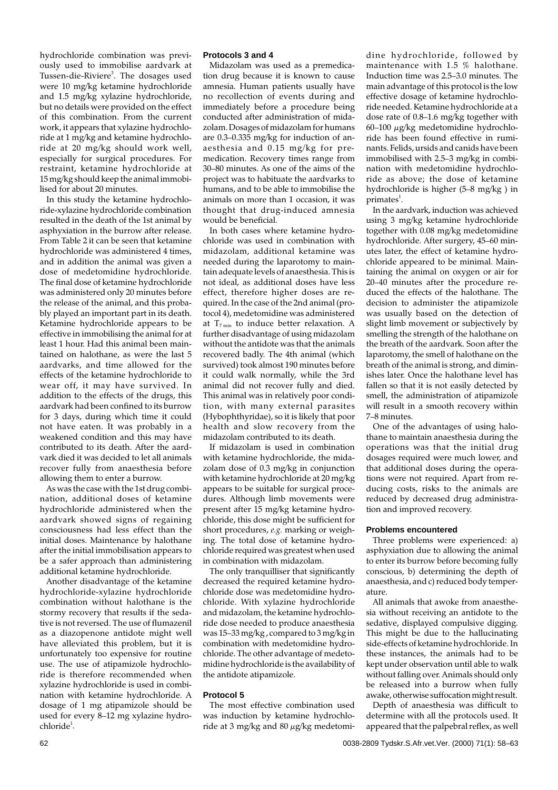hydrochloride combination was previously used to immobilise aardvark at Tussen-die-Riviere<sup>3</sup>. The dosages used were 10 mg/kg ketamine hydrochloride and 1.5 mg/kg xylazine hydrochloride, but no details were provided on the effect of this combination. From the current work, it appears that xylazine hydrochloride at 1 mg/kg and ketamine hydrochloride at 20 mg/kg should work well, especially for surgical procedures. For restraint, ketamine hydrochloride at 15 mg/kg should keep the animal immobilised for about 20 minutes.

In this study the ketamine hydrochloride-xylazine hydrochloride combination resulted in the death of the 1st animal by asphyxiation in the burrow after release. From Table 2 it can be seen that ketamine hydrochloride was administered 4 times, and in addition the animal was given a dose of medetomidine hydrochloride. The final dose of ketamine hydrochloride was administered only 20 minutes before the release of the animal, and this probably played an important part in its death. Ketamine hydrochloride appears to be effective in immobilising the animal for at least 1 hour. Had this animal been maintained on halothane, as were the last 5 aardvarks, and time allowed for the effects of the ketamine hydrochloride to wear off, it may have survived. In addition to the effects of the drugs, this aardvark had been confined to its burrow for 3 days, during which time it could not have eaten. It was probably in a weakened condition and this may have contributed to its death. After the aardvark died it was decided to let all animals recover fully from anaesthesia before allowing them to enter a burrow.

As was the case with the 1st drug combination, additional doses of ketamine hydrochloride administered when the aardvark showed signs of regaining consciousness had less effect than the initial doses. Maintenance by halothane after the initial immobilisation appears to be a safer approach than administering additional ketamine hydrochloride.

Another disadvantage of the ketamine hydrochloride-xylazine hydrochloride combination without halothane is the stormy recovery that results if the sedative is not reversed. The use of flumazenil as a diazopenone antidote might well have alleviated this problem, but it is unfortunately too expensive for routine use. The use of atipamizole hydrochloride is therefore recommended when xylazine hydrochloride is used in combination with ketamine hydrochloride. A dosage of 1 mg atipamizole should be used for every 8–12 mg xylazine hydro $chloride<sup>1</sup>$ .

# **Protocols 3 and 4**

Midazolam was used as a premedication drug because it is known to cause amnesia. Human patients usually have no recollection of events during and immediately before a procedure being conducted after administration of midazolam. Dosages of midazolam for humans are 0.3–0.335 mg/kg for induction of anaesthesia and 0.15 mg/kg for premedication. Recovery times range from 30–80 minutes. As one of the aims of the project was to habituate the aardvarks to humans, and to be able to immobilise the animals on more than 1 occasion, it was thought that drug-induced amnesia would be beneficial.

In both cases where ketamine hydrochloride was used in combination with midazolam, additional ketamine was needed during the laparotomy to maintain adequate levels of anaesthesia. This is not ideal, as additional doses have less effect, therefore higher doses are required. In the case of the 2nd animal (protocol 4), medetomidine was administered at  $T_{7 min}$  to induce better relaxation. A further disadvantage of using midazolam without the antidote was that the animals recovered badly. The 4th animal (which survived) took almost 190 minutes before it could walk normally, while the 3rd animal did not recover fully and died. This animal was in relatively poor condition, with many external parasites (Hybophthyridae), so it is likely that poor health and slow recovery from the midazolam contributed to its death.

If midazolam is used in combination with ketamine hydrochloride, the midazolam dose of 0.3 mg/kg in conjunction with ketamine hydrochloride at 20 mg/kg appears to be suitable for surgical procedures. Although limb movements were present after 15 mg/kg ketamine hydrochloride, this dose might be sufficient for short procedures, *e.g.* marking or weighing. The total dose of ketamine hydrochloride required was greatest when used in combination with midazolam.

The only tranquilliser that significantly decreased the required ketamine hydrochloride dose was medetomidine hydrochloride. With xylazine hydrochloride and midazolam, the ketamine hydrochloride dose needed to produce anaesthesia was 15–33 mg/kg , compared to 3 mg/kg in combination with medetomidine hydrochloride. The other advantage of medetomidine hydrochloride is the availability of the antidote atipamizole.

#### **Protocol 5**

The most effective combination used was induction by ketamine hydrochloride at 3 mg/kg and 80 µg/kg medetomidine hydrochloride, followed by maintenance with 1.5 % halothane. Induction time was 2.5–3.0 minutes. The main advantage of this protocol is the low effective dosage of ketamine hydrochloride needed. Ketamine hydrochloride at a dose rate of 0.8–1.6 mg/kg together with 60–100 µg/kg medetomidine hydrochloride has been found effective in ruminants. Felids, ursids and canids have been immobilised with 2.5–3 mg/kg in combination with medetomidine hydrochloride as above; the dose of ketamine hydrochloride is higher (5–8 mg/kg ) in primates $^1$ .

In the aardvark, induction was achieved using 3 mg/kg ketamine hydrochloride together with 0.08 mg/kg medetomidine hydrochloride. After surgery, 45–60 minutes later, the effect of ketamine hydrochloride appeared to be minimal. Maintaining the animal on oxygen or air for 20–40 minutes after the procedure reduced the effects of the halothane. The decision to administer the atipamizole was usually based on the detection of slight limb movement or subjectively by smelling the strength of the halothane on the breath of the aardvark. Soon after the laparotomy, the smell of halothane on the breath of the animal is strong, and diminishes later. Once the halothane level has fallen so that it is not easily detected by smell, the administration of atipamizole will result in a smooth recovery within 7–8 minutes.

One of the advantages of using halothane to maintain anaesthesia during the operations was that the initial drug dosages required were much lower, and that additional doses during the operations were not required. Apart from reducing costs, risks to the animals are reduced by decreased drug administration and improved recovery.

## **Problems encountered**

Three problems were experienced: a) asphyxiation due to allowing the animal to enter its burrow before becoming fully conscious, b) determining the depth of anaesthesia, and c) reduced body temperature.

All animals that awoke from anaesthesia without receiving an antidote to the sedative, displayed compulsive digging. This might be due to the hallucinating side-effects of ketamine hydrochloride. In these instances, the animals had to be kept under observation until able to walk without falling over. Animals should only be released into a burrow when fully awake, otherwise suffocation might result.

Depth of anaesthesia was difficult to determine with all the protocols used. It appeared that the palpebral reflex, as well